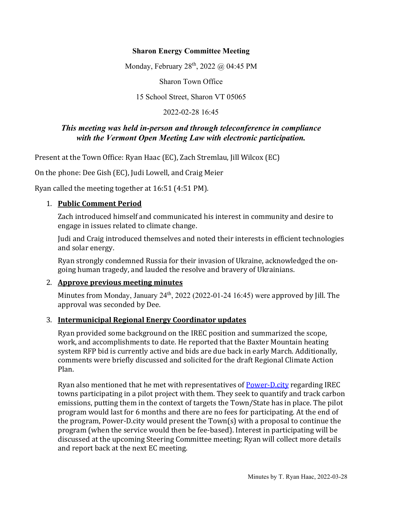### **Sharon Energy Committee Meeting**

Monday, February 28<sup>th</sup>, 2022 @ 04:45 PM

Sharon Town Office

15 School Street, Sharon VT 05065

2022-02-28 16:45

### *This meeting was held in-person and through teleconference in compliance with the Vermont Open Meeting Law with electronic participation.*

Present at the Town Office: Ryan Haac (EC), Zach Stremlau, Jill Wilcox (EC)

On the phone: Dee Gish (EC), Judi Lowell, and Craig Meier

Ryan called the meeting together at 16:51 (4:51 PM).

#### 1. **Public Comment Period**

Zach introduced himself and communicated his interest in community and desire to engage in issues related to climate change.

Judi and Craig introduced themselves and noted their interests in efficient technologies and solar energy.

Ryan strongly condemned Russia for their invasion of Ukraine, acknowledged the ongoing human tragedy, and lauded the resolve and bravery of Ukrainians.

#### 2. **Approve previous meeting minutes**

Minutes from Monday, January  $24<sup>th</sup>$ , 2022 (2022-01-24 16:45) were approved by Jill. The approval was seconded by Dee.

#### 3. **Intermunicipal Regional Energy Coordinator updates**

Ryan provided some background on the IREC position and summarized the scope, work, and accomplishments to date. He reported that the Baxter Mountain heating system RFP bid is currently active and bids are due back in early March. Additionally, comments were briefly discussed and solicited for the draft Regional Climate Action Plan.

Ryan also mentioned that he met with representatives of **Power-D.city regarding IREC** towns participating in a pilot project with them. They seek to quantify and track carbon emissions, putting them in the context of targets the Town/State has in place. The pilot program would last for 6 months and there are no fees for participating. At the end of the program, Power-D.city would present the Town(s) with a proposal to continue the program (when the service would then be fee-based). Interest in participating will be discussed at the upcoming Steering Committee meeting; Ryan will collect more details and report back at the next EC meeting.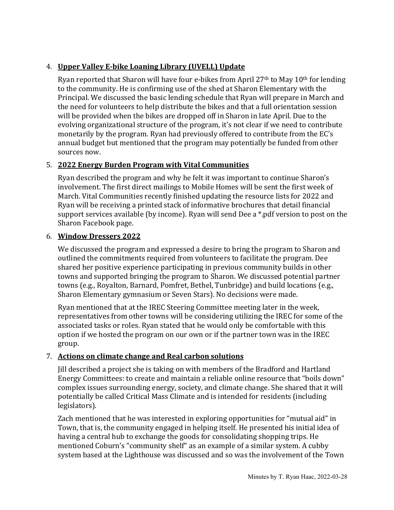# 4. **Upper Valley E-bike Loaning Library (UVELL) Update**

Ryan reported that Sharon will have four e-bikes from April 27<sup>th</sup> to May 10<sup>th</sup> for lending to the community. He is confirming use of the shed at Sharon Elementary with the Principal. We discussed the basic lending schedule that Ryan will prepare in March and the need for volunteers to help distribute the bikes and that a full orientation session will be provided when the bikes are dropped off in Sharon in late April. Due to the evolving organizational structure of the program, it's not clear if we need to contribute monetarily by the program. Ryan had previously offered to contribute from the EC's annual budget but mentioned that the program may potentially be funded from other sources now.

# 5. **2022 Energy Burden Program with Vital Communities**

Ryan described the program and why he felt it was important to continue Sharon's involvement. The first direct mailings to Mobile Homes will be sent the first week of March. Vital Communities recently finished updating the resource lists for 2022 and Ryan will be receiving a printed stack of informative brochures that detail financial support services available (by income). Ryan will send Dee a \*.pdf version to post on the Sharon Facebook page.

## 6. **Window Dressers 2022**

We discussed the program and expressed a desire to bring the program to Sharon and outlined the commitments required from volunteers to facilitate the program. Dee shared her positive experience participating in previous community builds in other towns and supported bringing the program to Sharon. We discussed potential partner towns (e.g., Royalton, Barnard, Pomfret, Bethel, Tunbridge) and build locations (e.g., Sharon Elementary gymnasium or Seven Stars). No decisions were made.

Ryan mentioned that at the IREC Steering Committee meeting later in the week, representatives from other towns will be considering utilizing the IREC for some of the associated tasks or roles. Ryan stated that he would only be comfortable with this option if we hosted the program on our own or if the partner town was in the IREC group.

# 7. **Actions on climate change and Real carbon solutions**

Jill described a project she is taking on with members of the Bradford and Hartland Energy Committees: to create and maintain a reliable online resource that "boils down" complex issues surrounding energy, society, and climate change. She shared that it will potentially be called Critical Mass Climate and is intended for residents (including legislators).

Zach mentioned that he was interested in exploring opportunities for "mutual aid" in Town, that is, the community engaged in helping itself. He presented his initial idea of having a central hub to exchange the goods for consolidating shopping trips. He mentioned Coburn's "community shelf" as an example of a similar system. A cubby system based at the Lighthouse was discussed and so was the involvement of the Town